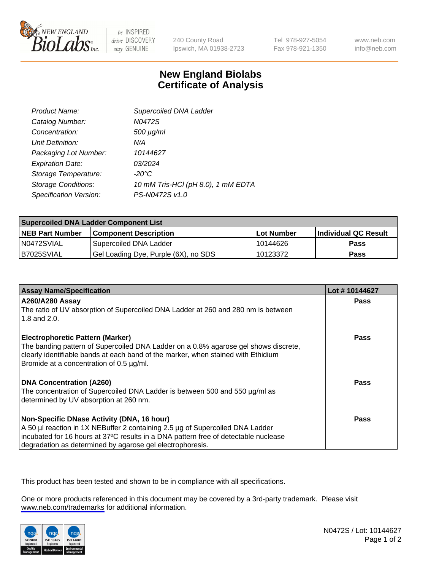

be INSPIRED drive DISCOVERY stay GENUINE

240 County Road Ipswich, MA 01938-2723 Tel 978-927-5054 Fax 978-921-1350

www.neb.com info@neb.com

## **New England Biolabs Certificate of Analysis**

| Product Name:              | Supercoiled DNA Ladder             |
|----------------------------|------------------------------------|
| Catalog Number:            | N0472S                             |
| Concentration:             | 500 µg/ml                          |
| Unit Definition:           | N/A                                |
| Packaging Lot Number:      | 10144627                           |
| <b>Expiration Date:</b>    | 03/2024                            |
| Storage Temperature:       | -20°C                              |
| <b>Storage Conditions:</b> | 10 mM Tris-HCl (pH 8.0), 1 mM EDTA |
| Specification Version:     | PS-N0472S v1.0                     |

| <b>Supercoiled DNA Ladder Component List</b> |                                      |                   |                      |  |
|----------------------------------------------|--------------------------------------|-------------------|----------------------|--|
| <b>NEB Part Number</b>                       | <b>Component Description</b>         | <b>Lot Number</b> | Individual QC Result |  |
| N0472SVIAL                                   | Supercoiled DNA Ladder               | 10144626          | <b>Pass</b>          |  |
| B7025SVIAL                                   | Gel Loading Dye, Purple (6X), no SDS | 10123372          | <b>Pass</b>          |  |

| <b>Assay Name/Specification</b>                                                                                                | Lot #10144627 |
|--------------------------------------------------------------------------------------------------------------------------------|---------------|
| <b>A260/A280 Assay</b><br>The ratio of UV absorption of Supercoiled DNA Ladder at 260 and 280 nm is between                    | <b>Pass</b>   |
| 1.8 and $2.0$ .                                                                                                                |               |
| <b>Electrophoretic Pattern (Marker)</b><br>The banding pattern of Supercoiled DNA Ladder on a 0.8% agarose gel shows discrete, | Pass          |
| clearly identifiable bands at each band of the marker, when stained with Ethidium                                              |               |
| Bromide at a concentration of 0.5 µg/ml.                                                                                       |               |
| <b>DNA Concentration (A260)</b>                                                                                                | Pass          |
| The concentration of Supercoiled DNA Ladder is between 500 and 550 µg/ml as<br>determined by UV absorption at 260 nm.          |               |
| Non-Specific DNase Activity (DNA, 16 hour)                                                                                     | <b>Pass</b>   |
| A 50 µl reaction in 1X NEBuffer 2 containing 2.5 µg of Supercoiled DNA Ladder                                                  |               |
| incubated for 16 hours at 37°C results in a DNA pattern free of detectable nuclease                                            |               |
| degradation as determined by agarose gel electrophoresis.                                                                      |               |

This product has been tested and shown to be in compliance with all specifications.

One or more products referenced in this document may be covered by a 3rd-party trademark. Please visit <www.neb.com/trademarks>for additional information.